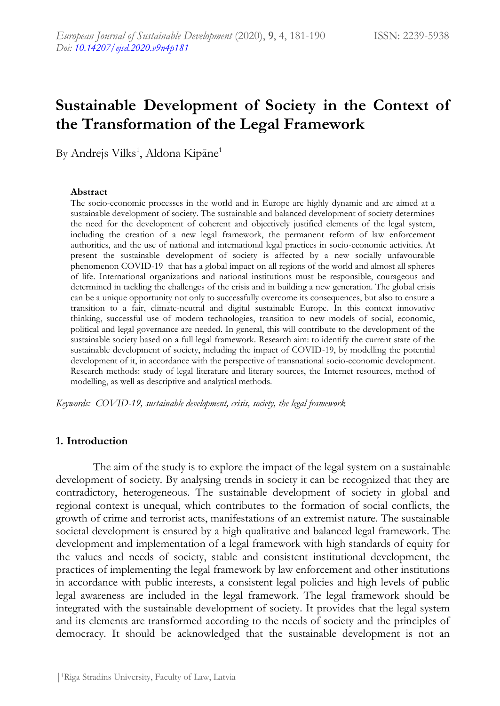# **Sustainable Development of Society in the Context of the Transformation of the Legal Framework**

By Andrejs Vilks<sup>1</sup>, Aldona Kipāne<sup>1</sup>

#### **Abstract**

The socio-economic processes in the world and in Europe are highly dynamic and are aimed at a sustainable development of society. The sustainable and balanced development of society determines the need for the development of coherent and objectively justified elements of the legal system, including the creation of a new legal framework, the permanent reform of law enforcement authorities, and the use of national and international legal practices in socio-economic activities. At present the sustainable development of society is affected by a new socially unfavourable phenomenon COVID-19 that has a global impact on all regions of the world and almost all spheres of life. International organizations and national institutions must be responsible, courageous and determined in tackling the challenges of the crisis and in building a new generation. The global crisis can be a unique opportunity not only to successfully overcome its consequences, but also to ensure a transition to a fair, climate-neutral and digital sustainable Europe. In this context innovative thinking, successful use of modern technologies, transition to new models of social, economic, political and legal governance are needed. In general, this will contribute to the development of the sustainable society based on a full legal framework. Research aim: to identify the current state of the sustainable development of society, including the impact of COVID-19, by modelling the potential development of it, in accordance with the perspective of transnational socio-economic development. Research methods: study of legal literature and literary sources, the Internet resources, method of modelling, as well as descriptive and analytical methods.

*Keywords: COVID-19, sustainable development, crisis, society, the legal framework*

#### **1. Introduction**

The aim of the study is to explore the impact of the legal system on a sustainable development of society. By analysing trends in society it can be recognized that they are contradictory, heterogeneous. The sustainable development of society in global and regional context is unequal, which contributes to the formation of social conflicts, the growth of crime and terrorist acts, manifestations of an extremist nature. The sustainable societal development is ensured by a high qualitative and balanced legal framework. The development and implementation of a legal framework with high standards of equity for the values and needs of society, stable and consistent institutional development, the practices of implementing the legal framework by law enforcement and other institutions in accordance with public interests, a consistent legal policies and high levels of public legal awareness are included in the legal framework. The legal framework should be integrated with the sustainable development of society. It provides that the legal system and its elements are transformed according to the needs of society and the principles of democracy. It should be acknowledged that the sustainable development is not an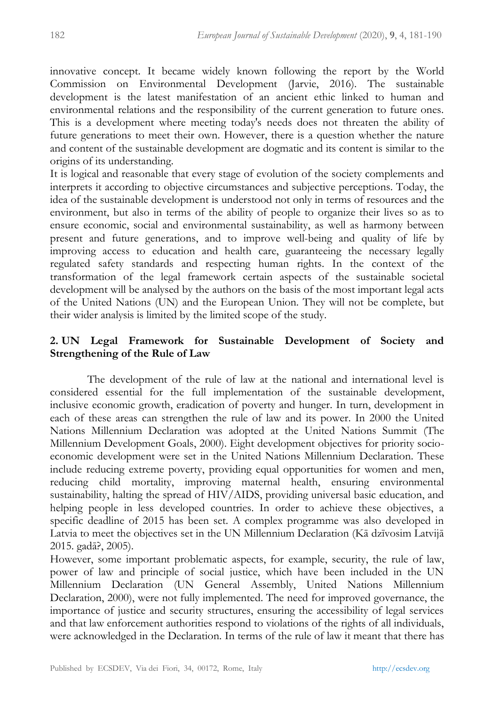innovative concept. It became widely known following the report by the World Commission on Environmental Development (Jarvie, 2016). The sustainable development is the latest manifestation of an ancient ethic linked to human and environmental relations and the responsibility of the current generation to future ones. This is a development where meeting today's needs does not threaten the ability of future generations to meet their own. However, there is a question whether the nature and content of the sustainable development are dogmatic and its content is similar to the origins of its understanding.

It is logical and reasonable that every stage of evolution of the society complements and interprets it according to objective circumstances and subjective perceptions. Today, the idea of the sustainable development is understood not only in terms of resources and the environment, but also in terms of the ability of people to organize their lives so as to ensure economic, social and environmental sustainability, as well as harmony between present and future generations, and to improve well-being and quality of life by improving access to education and health care, guaranteeing the necessary legally regulated safety standards and respecting human rights. In the context of the transformation of the legal framework certain aspects of the sustainable societal development will be analysed by the authors on the basis of the most important legal acts of the United Nations (UN) and the European Union. They will not be complete, but their wider analysis is limited by the limited scope of the study.

# **2. UN Legal Framework for Sustainable Development of Society and Strengthening of the Rule of Law**

The development of the rule of law at the national and international level is considered essential for the full implementation of the sustainable development, inclusive economic growth, eradication of poverty and hunger. In turn, development in each of these areas can strengthen the rule of law and its power. In 2000 the United Nations Millennium Declaration was adopted at the United Nations Summit (The Millennium Development Goals, 2000). Eight development objectives for priority socioeconomic development were set in the United Nations Millennium Declaration. These include reducing extreme poverty, providing equal opportunities for women and men, reducing child mortality, improving maternal health, ensuring environmental sustainability, halting the spread of HIV/AIDS, providing universal basic education, and helping people in less developed countries. In order to achieve these objectives, a specific deadline of 2015 has been set. A complex programme was also developed in Latvia to meet the objectives set in the UN Millennium Declaration (Kā dzīvosim Latvijā 2015. gadā?, 2005).

However, some important problematic aspects, for example, security, the rule of law, power of law and principle of social justice, which have been included in the UN Millennium Declaration (UN General Assembly, United Nations Millennium Declaration, 2000), were not fully implemented. The need for improved governance, the importance of justice and security structures, ensuring the accessibility of legal services and that law enforcement authorities respond to violations of the rights of all individuals, were acknowledged in the Declaration. In terms of the rule of law it meant that there has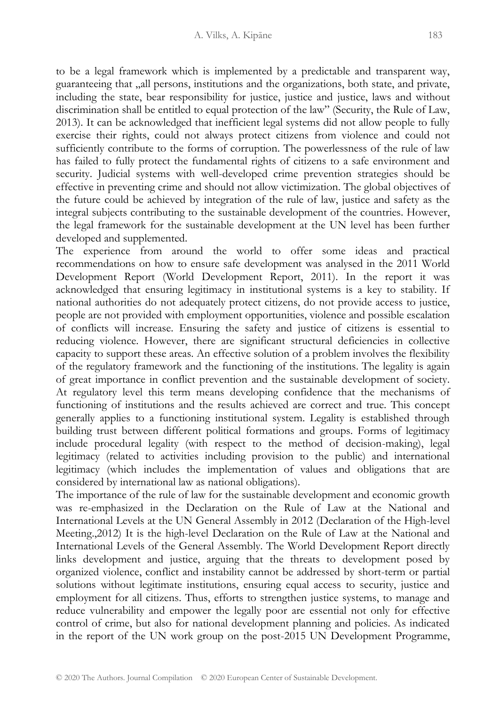to be a legal framework which is implemented by a predictable and transparent way, guaranteeing that "all persons, institutions and the organizations, both state, and private, including the state, bear responsibility for justice, justice and justice, laws and without discrimination shall be entitled to equal protection of the law" (Security, the Rule of Law, 2013). It can be acknowledged that inefficient legal systems did not allow people to fully exercise their rights, could not always protect citizens from violence and could not sufficiently contribute to the forms of corruption. The powerlessness of the rule of law has failed to fully protect the fundamental rights of citizens to a safe environment and security. Judicial systems with well-developed crime prevention strategies should be effective in preventing crime and should not allow victimization. The global objectives of the future could be achieved by integration of the rule of law, justice and safety as the integral subjects contributing to the sustainable development of the countries. However, the legal framework for the sustainable development at the UN level has been further developed and supplemented.

The experience from around the world to offer some ideas and practical recommendations on how to ensure safe development was analysed in the 2011 World Development Report (World Development Report, 2011). In the report it was acknowledged that ensuring legitimacy in institutional systems is a key to stability. If national authorities do not adequately protect citizens, do not provide access to justice, people are not provided with employment opportunities, violence and possible escalation of conflicts will increase. Ensuring the safety and justice of citizens is essential to reducing violence. However, there are significant structural deficiencies in collective capacity to support these areas. An effective solution of a problem involves the flexibility of the regulatory framework and the functioning of the institutions. The legality is again of great importance in conflict prevention and the sustainable development of society. At regulatory level this term means developing confidence that the mechanisms of functioning of institutions and the results achieved are correct and true. This concept generally applies to a functioning institutional system. Legality is established through building trust between different political formations and groups. Forms of legitimacy include procedural legality (with respect to the method of decision-making), legal legitimacy (related to activities including provision to the public) and international legitimacy (which includes the implementation of values and obligations that are considered by international law as national obligations).

The importance of the rule of law for the sustainable development and economic growth was re-emphasized in the Declaration on the Rule of Law at the National and International Levels at the UN General Assembly in 2012 (Declaration of the High-level Meeting.,2012) It is the high-level Declaration on the Rule of Law at the National and International Levels of the General Assembly. The World Development Report directly links development and justice, arguing that the threats to development posed by organized violence, conflict and instability cannot be addressed by short-term or partial solutions without legitimate institutions, ensuring equal access to security, justice and employment for all citizens. Thus, efforts to strengthen justice systems, to manage and reduce vulnerability and empower the legally poor are essential not only for effective control of crime, but also for national development planning and policies. As indicated in the report of the UN work group on the post-2015 UN Development Programme,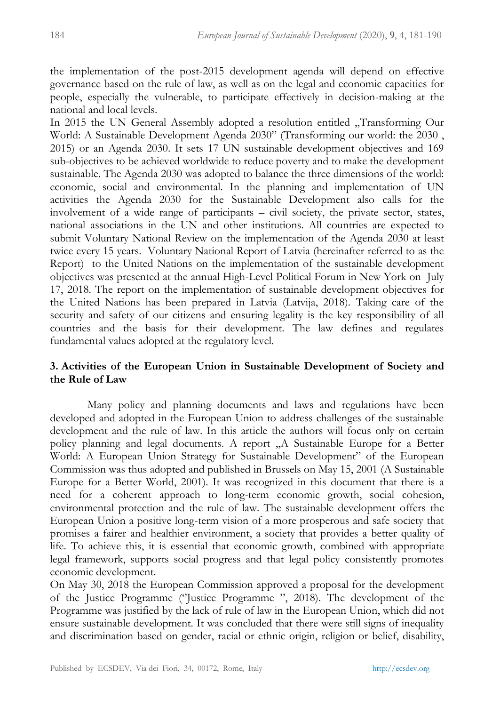the implementation of the post-2015 development agenda will depend on effective governance based on the rule of law, as well as on the legal and economic capacities for people, especially the vulnerable, to participate effectively in decision-making at the national and local levels.

In 2015 the UN General Assembly adopted a resolution entitled "Transforming Our World: A Sustainable Development Agenda 2030" (Transforming our world: the 2030 , 2015) or an Agenda 2030. It sets 17 UN sustainable development objectives and 169 sub-objectives to be achieved worldwide to reduce poverty and to make the development sustainable. The Agenda 2030 was adopted to balance the three dimensions of the world: economic, social and environmental. In the planning and implementation of UN activities the Agenda 2030 for the Sustainable Development also calls for the involvement of a wide range of participants – civil society, the private sector, states, national associations in the UN and other institutions. All countries are expected to submit Voluntary National Review on the implementation of the Agenda 2030 at least twice every 15 years. Voluntary National Report of Latvia (hereinafter referred to as the Report) to the United Nations on the implementation of the sustainable development objectives was presented at the annual High-Level Political Forum in New York on July 17, 2018. The report on the implementation of sustainable development objectives for the United Nations has been prepared in Latvia (Latvija, 2018). Taking care of the security and safety of our citizens and ensuring legality is the key responsibility of all countries and the basis for their development. The law defines and regulates fundamental values adopted at the regulatory level.

## **3. Activities of the European Union in Sustainable Development of Society and the Rule of Law**

Many policy and planning documents and laws and regulations have been developed and adopted in the European Union to address challenges of the sustainable development and the rule of law. In this article the authors will focus only on certain policy planning and legal documents. A report "A Sustainable Europe for a Better" World: A European Union Strategy for Sustainable Development" of the European Commission was thus adopted and published in Brussels on May 15, 2001 (A Sustainable Europe for a Better World, 2001). It was recognized in this document that there is a need for a coherent approach to long-term economic growth, social cohesion, environmental protection and the rule of law. The sustainable development offers the European Union a positive long-term vision of a more prosperous and safe society that promises a fairer and healthier environment, a society that provides a better quality of life. To achieve this, it is essential that economic growth, combined with appropriate legal framework, supports social progress and that legal policy consistently promotes economic development.

On May 30, 2018 the European Commission approved a proposal for the development of the Justice Programme (''Justice Programme ", 2018). The development of the Programme was justified by the lack of rule of law in the European Union, which did not ensure sustainable development. It was concluded that there were still signs of inequality and discrimination based on gender, racial or ethnic origin, religion or belief, disability,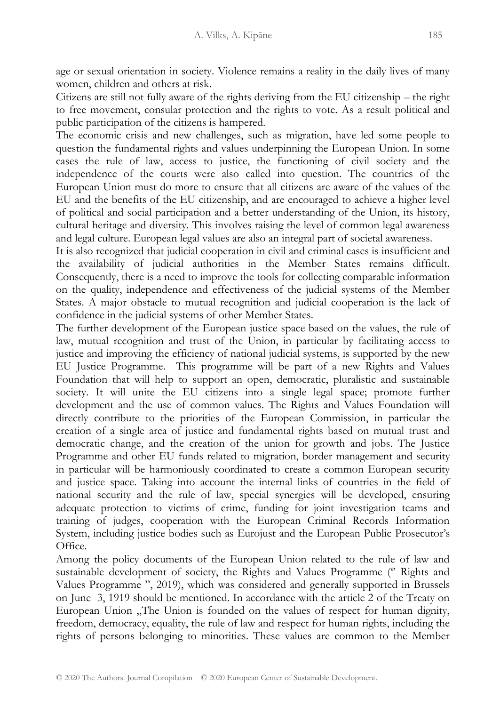age or sexual orientation in society. Violence remains a reality in the daily lives of many women, children and others at risk.

Citizens are still not fully aware of the rights deriving from the EU citizenship – the right to free movement, consular protection and the rights to vote. As a result political and public participation of the citizens is hampered.

The economic crisis and new challenges, such as migration, have led some people to question the fundamental rights and values underpinning the European Union. In some cases the rule of law, access to justice, the functioning of civil society and the independence of the courts were also called into question. The countries of the European Union must do more to ensure that all citizens are aware of the values of the EU and the benefits of the EU citizenship, and are encouraged to achieve a higher level of political and social participation and a better understanding of the Union, its history, cultural heritage and diversity. This involves raising the level of common legal awareness and legal culture. European legal values are also an integral part of societal awareness.

It is also recognized that judicial cooperation in civil and criminal cases is insufficient and the availability of judicial authorities in the Member States remains difficult. Consequently, there is a need to improve the tools for collecting comparable information on the quality, independence and effectiveness of the judicial systems of the Member States. A major obstacle to mutual recognition and judicial cooperation is the lack of confidence in the judicial systems of other Member States.

The further development of the European justice space based on the values, the rule of law, mutual recognition and trust of the Union, in particular by facilitating access to justice and improving the efficiency of national judicial systems, is supported by the new EU Justice Programme. This programme will be part of a new Rights and Values Foundation that will help to support an open, democratic, pluralistic and sustainable society. It will unite the EU citizens into a single legal space; promote further development and the use of common values. The Rights and Values Foundation will directly contribute to the priorities of the European Commission, in particular the creation of a single area of justice and fundamental rights based on mutual trust and democratic change, and the creation of the union for growth and jobs. The Justice Programme and other EU funds related to migration, border management and security in particular will be harmoniously coordinated to create a common European security and justice space. Taking into account the internal links of countries in the field of national security and the rule of law, special synergies will be developed, ensuring adequate protection to victims of crime, funding for joint investigation teams and training of judges, cooperation with the European Criminal Records Information System, including justice bodies such as Eurojust and the European Public Prosecutor's Office.

Among the policy documents of the European Union related to the rule of law and sustainable development of society, the Rights and Values Programme ('' Rights and Values Programme ", 2019), which was considered and generally supported in Brussels on June 3, 1919 should be mentioned. In accordance with the article 2 of the Treaty on European Union , The Union is founded on the values of respect for human dignity, freedom, democracy, equality, the rule of law and respect for human rights, including the rights of persons belonging to minorities. These values are common to the Member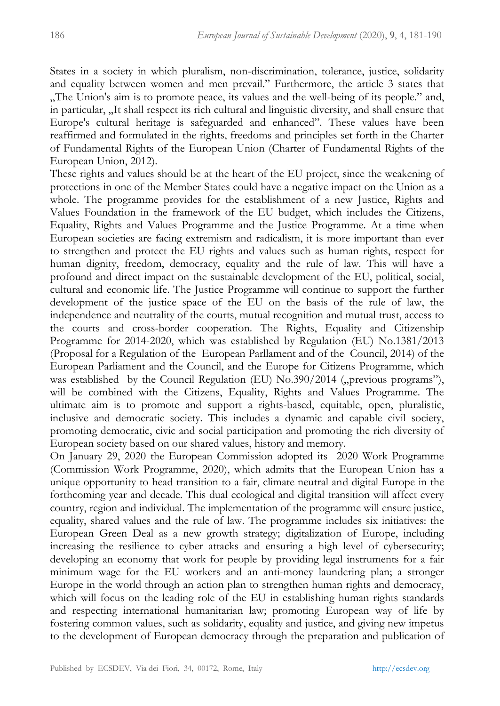States in a society in which pluralism, non-discrimination, tolerance, justice, solidarity and equality between women and men prevail." Furthermore, the article 3 states that "The Union's aim is to promote peace, its values and the well-being of its people." and, in particular, "It shall respect its rich cultural and linguistic diversity, and shall ensure that Europe's cultural heritage is safeguarded and enhanced". These values have been reaffirmed and formulated in the rights, freedoms and principles set forth in the Charter of Fundamental Rights of the European Union (Charter of Fundamental Rights of the European Union, 2012).

These rights and values should be at the heart of the EU project, since the weakening of protections in one of the Member States could have a negative impact on the Union as a whole. The programme provides for the establishment of a new Justice, Rights and Values Foundation in the framework of the EU budget, which includes the Citizens, Equality, Rights and Values Programme and the Justice Programme. At a time when European societies are facing extremism and radicalism, it is more important than ever to strengthen and protect the EU rights and values such as human rights, respect for human dignity, freedom, democracy, equality and the rule of law. This will have a profound and direct impact on the sustainable development of the EU, political, social, cultural and economic life. The Justice Programme will continue to support the further development of the justice space of the EU on the basis of the rule of law, the independence and neutrality of the courts, mutual recognition and mutual trust, access to the courts and cross-border cooperation. The Rights, Equality and Citizenship Programme for 2014-2020, which was established by Regulation (EU) No.1381/2013 (Proposal for a Regulation of the European Parllament and of the Council, 2014) of the European Parliament and the Council, and the Europe for Citizens Programme, which was established by the Council Regulation (EU)  $\text{No.390}/2014$  ("previous programs"), will be combined with the Citizens, Equality, Rights and Values Programme. The ultimate aim is to promote and support a rights-based, equitable, open, pluralistic, inclusive and democratic society. This includes a dynamic and capable civil society, promoting democratic, civic and social participation and promoting the rich diversity of European society based on our shared values, history and memory.

On January 29, 2020 the European Commission adopted its 2020 Work Programme (Commission Work Programme, 2020), which admits that the European Union has a unique opportunity to head transition to a fair, climate neutral and digital Europe in the forthcoming year and decade. This dual ecological and digital transition will affect every country, region and individual. The implementation of the programme will ensure justice, equality, shared values and the rule of law. The programme includes six initiatives: the European Green Deal as a new growth strategy; digitalization of Europe, including increasing the resilience to cyber attacks and ensuring a high level of cybersecurity; developing an economy that work for people by providing legal instruments for a fair minimum wage for the EU workers and an anti-money laundering plan; a stronger Europe in the world through an action plan to strengthen human rights and democracy, which will focus on the leading role of the EU in establishing human rights standards and respecting international humanitarian law; promoting European way of life by fostering common values, such as solidarity, equality and justice, and giving new impetus to the development of European democracy through the preparation and publication of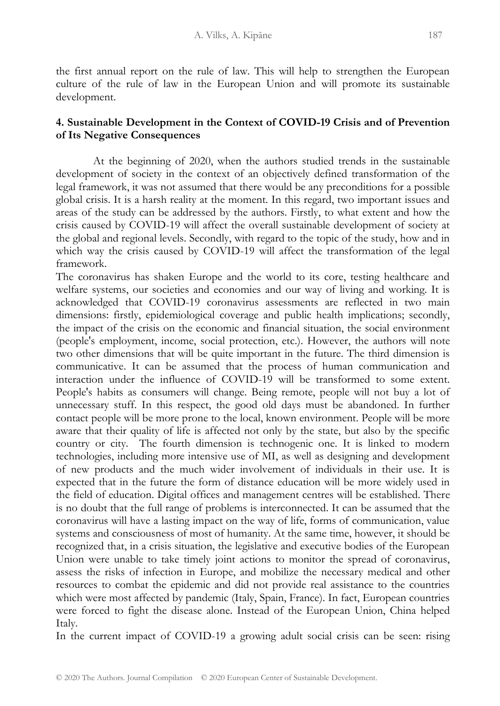the first annual report on the rule of law. This will help to strengthen the European culture of the rule of law in the European Union and will promote its sustainable development.

# **4. Sustainable Development in the Context of COVID-19 Crisis and of Prevention of Its Negative Consequences**

At the beginning of 2020, when the authors studied trends in the sustainable development of society in the context of an objectively defined transformation of the legal framework, it was not assumed that there would be any preconditions for a possible global crisis. It is a harsh reality at the moment. In this regard, two important issues and areas of the study can be addressed by the authors. Firstly, to what extent and how the crisis caused by COVID-19 will affect the overall sustainable development of society at the global and regional levels. Secondly, with regard to the topic of the study, how and in which way the crisis caused by COVID-19 will affect the transformation of the legal framework.

The coronavirus has shaken Europe and the world to its core, testing healthcare and welfare systems, our societies and economies and our way of living and working. It is acknowledged that COVID-19 coronavirus assessments are reflected in two main dimensions: firstly, epidemiological coverage and public health implications; secondly, the impact of the crisis on the economic and financial situation, the social environment (people's employment, income, social protection, etc.). However, the authors will note two other dimensions that will be quite important in the future. The third dimension is communicative. It can be assumed that the process of human communication and interaction under the influence of COVID-19 will be transformed to some extent. People's habits as consumers will change. Being remote, people will not buy a lot of unnecessary stuff. In this respect, the good old days must be abandoned. In further contact people will be more prone to the local, known environment. People will be more aware that their quality of life is affected not only by the state, but also by the specific country or city. The fourth dimension is technogenic one. It is linked to modern technologies, including more intensive use of MI, as well as designing and development of new products and the much wider involvement of individuals in their use. It is expected that in the future the form of distance education will be more widely used in the field of education. Digital offices and management centres will be established. There is no doubt that the full range of problems is interconnected. It can be assumed that the coronavirus will have a lasting impact on the way of life, forms of communication, value systems and consciousness of most of humanity. At the same time, however, it should be recognized that, in a crisis situation, the legislative and executive bodies of the European Union were unable to take timely joint actions to monitor the spread of coronavirus, assess the risks of infection in Europe, and mobilize the necessary medical and other resources to combat the epidemic and did not provide real assistance to the countries which were most affected by pandemic (Italy, Spain, France). In fact, European countries were forced to fight the disease alone. Instead of the European Union, China helped Italy.

In the current impact of COVID-19 a growing adult social crisis can be seen: rising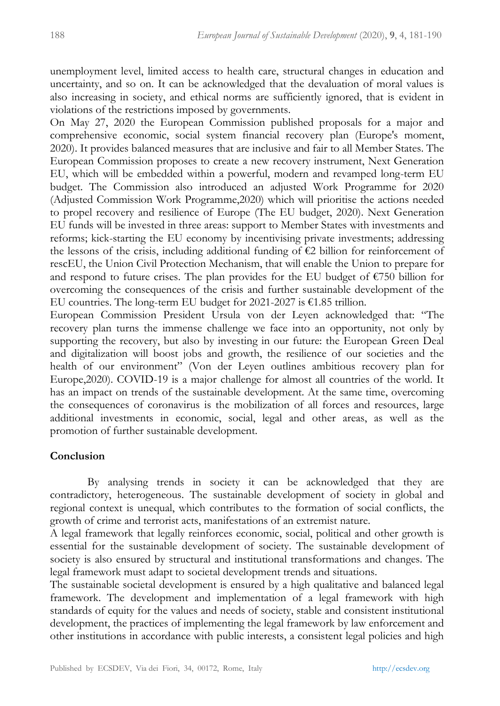unemployment level, limited access to health care, structural changes in education and uncertainty, and so on. It can be acknowledged that the devaluation of moral values is also increasing in society, and ethical norms are sufficiently ignored, that is evident in violations of the restrictions imposed by governments.

On May 27, 2020 the European Commission published proposals for a major and comprehensive economic, social system financial recovery plan (Europe's moment, 2020). It provides balanced measures that are inclusive and fair to all Member States. The European Commission proposes to create a new recovery instrument, Next Generation EU, which will be embedded within a powerful, modern and revamped long-term EU budget. The Commission also introduced an adjusted Work Programme for 2020 (Adjusted Commission Work Programme,2020) which will prioritise the actions needed to propel recovery and resilience of Europe (The EU budget, 2020). Next Generation EU funds will be invested in three areas: support to Member States with investments and reforms; kick-starting the EU economy by incentivising private investments; addressing the lessons of the crisis, including additional funding of  $\epsilon$ 2 billion for reinforcement of rescEU, the Union Civil Protection Mechanism, that will enable the Union to prepare for and respond to future crises. The plan provides for the EU budget of  $\epsilon$ 750 billion for overcoming the consequences of the crisis and further sustainable development of the EU countries. The long-term EU budget for 2021-2027 is €1.85 trillion.

European Commission President Ursula von der Leyen acknowledged that: "The recovery plan turns the immense challenge we face into an opportunity, not only by supporting the recovery, but also by investing in our future: the European Green Deal and digitalization will boost jobs and growth, the resilience of our societies and the health of our environment" (Von der Leyen outlines ambitious recovery plan for Europe,2020). COVID-19 is a major challenge for almost all countries of the world. It has an impact on trends of the sustainable development. At the same time, overcoming the consequences of coronavirus is the mobilization of all forces and resources, large additional investments in economic, social, legal and other areas, as well as the promotion of further sustainable development.

#### **Conclusion**

By analysing trends in society it can be acknowledged that they are contradictory, heterogeneous. The sustainable development of society in global and regional context is unequal, which contributes to the formation of social conflicts, the growth of crime and terrorist acts, manifestations of an extremist nature.

A legal framework that legally reinforces economic, social, political and other growth is essential for the sustainable development of society. The sustainable development of society is also ensured by structural and institutional transformations and changes. The legal framework must adapt to societal development trends and situations.

The sustainable societal development is ensured by a high qualitative and balanced legal framework. The development and implementation of a legal framework with high standards of equity for the values and needs of society, stable and consistent institutional development, the practices of implementing the legal framework by law enforcement and other institutions in accordance with public interests, a consistent legal policies and high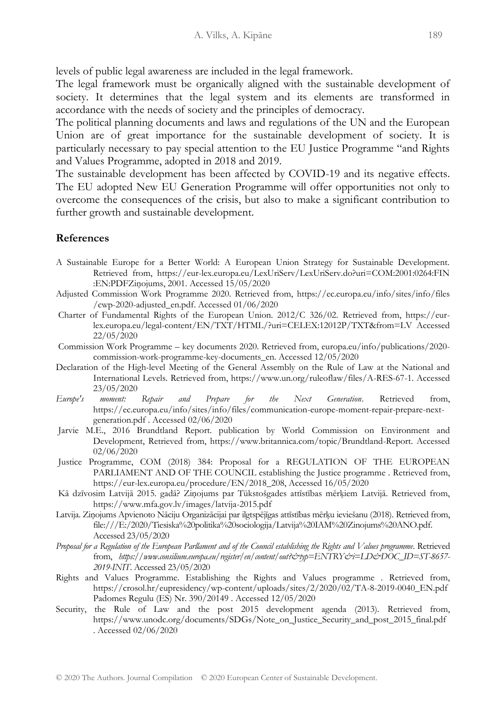levels of public legal awareness are included in the legal framework.

The legal framework must be organically aligned with the sustainable development of society. It determines that the legal system and its elements are transformed in accordance with the needs of society and the principles of democracy.

The political planning documents and laws and regulations of the UN and the European Union are of great importance for the sustainable development of society. It is particularly necessary to pay special attention to the EU Justice Programme "and Rights and Values Programme, adopted in 2018 and 2019.

The sustainable development has been affected by COVID-19 and its negative effects. The EU adopted New EU Generation Programme will offer opportunities not only to overcome the consequences of the crisis, but also to make a significant contribution to further growth and sustainable development.

### **References**

- A Sustainable Europe for a Better World: A European Union Strategy for Sustainable Development. Retrieved from, https://eur-lex.europa.eu/LexUriServ/LexUriServ.do?uri=COM:2001:0264:FIN :EN:PDFZiņojums, 2001. Accessed 15/05/2020
- Adjusted Commission Work Programme 2020. Retrieved from, https://ec.europa.eu/info/sites/info/files /cwp-2020-adjusted\_en.pdf. Accessed 01/06/2020
- Charter of Fundamental Rights of the European Union. 2012/C 326/02. Retrieved from, https://eurlex.europa.eu/legal-content/EN/TXT/HTML/?uri=CELEX:12012P/TXT&from=LV Accessed 22/05/2020
- Commission Work Programme key documents 2020. Retrieved from, europa.eu/info/publications/2020 commission-work-programme-key-documents\_en. Accessed 12/05/2020
- Declaration of the High-level Meeting of the General Assembly on the Rule of Law at the National and International Levels. Retrieved from, https://www.un.org/ruleoflaw/files/A-RES-67-1. Accessed 23/05/2020
- *Europe's moment: Repair and Prepare for the Next Generation*. Retrieved from, https://ec.europa.eu/info/sites/info/files/communication-europe-moment-repair-prepare-nextgeneration.pdf . Accessed 02/06/2020
- Jarvie M.E., 2016 Brundtland Report. publication by World Commission on Environment and Development, Retrieved from, https://www.britannica.com/topic/Brundtland-Report. Accessed 02/06/2020
- Justice Programme, COM (2018) 384: Proposal for a REGULATION OF THE EUROPEAN PARLIAMENT AND OF THE COUNCIL establishing the Justice programme . Retrieved from, https://eur-lex.europa.eu/procedure/EN/2018\_208, Accessed 16/05/2020
- Kā dzīvosim Latvijā 2015. gadā? Ziņojums par Tükstošgades attīstības mērķiem Latvijā. Retrieved from, https://www.mfa.gov.lv/images/latvija-2015.pdf
- Latvija. Ziņojums Apvienoto Nāciju Organizācijai par ilgtspējīgas attīstības mērķu ieviešanu (2018). Retrieved from, file:///E:/2020/Tiesiska%20politika%20sociologija/Latvija%20IAM%20Zinojums%20ANO.pdf. Accessed 23/05/2020
- *Proposal for a Regulation of the European Parllament and of the Council establishing the Rights and Values programme*. Retrieved from, *https://www.consilium.europa.eu/register/en/content/out?&typ=ENTRY&i=LD&DOC\_ID=ST-8657- 2019-INIT*. Accessed 23/05/2020
- Rights and Values Programme. Establishing the Rights and Values programme . Retrieved from, https://crosol.hr/eupresidency/wp-content/uploads/sites/2/2020/02/TA-8-2019-0040\_EN.pdf Padomes Regulu (ES) Nr. 390/20149 . Accessed 12/05/2020
- Security, the Rule of Law and the post 2015 development agenda (2013). Retrieved from, https://www.unodc.org/documents/SDGs/Note\_on\_Justice\_Security\_and\_post\_2015\_final.pdf . Accessed 02/06/2020